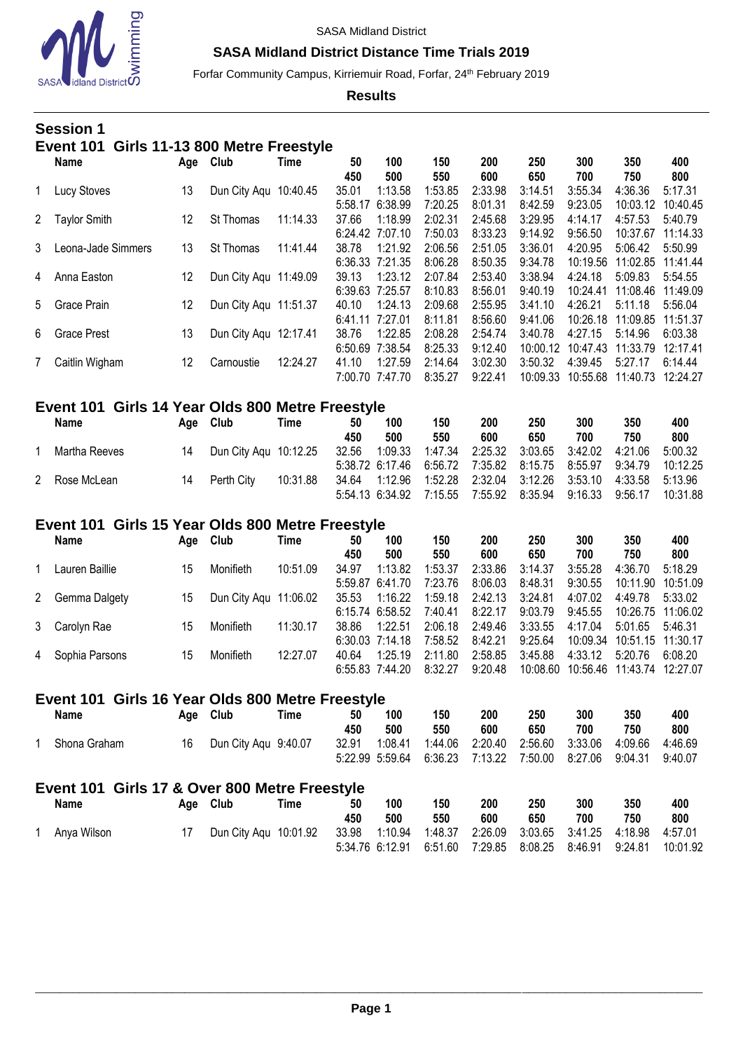

### **SASA Midland District Distance Time Trials 2019**

Forfar Community Campus, Kirriemuir Road, Forfar, 24<sup>th</sup> February 2019

**Results**

### **Session 1 Event 101 Girls 11-13 800 Metre Freestyle**

|              | <b>Name</b>         | Age | Club                  | Time     | 50<br>450       | 100<br>500      | 150<br>550 | 200<br>600 | 250<br>650 | 300<br>700 | 350<br>750 | 400<br>800 |
|--------------|---------------------|-----|-----------------------|----------|-----------------|-----------------|------------|------------|------------|------------|------------|------------|
|              | Lucy Stoves         | 13  | Dun City Agu 10:40.45 |          | 35.01           | 1:13.58         | 1:53.85    | 2:33.98    | 3:14.51    | 3:55.34    | 4:36.36    | 5:17.31    |
|              |                     |     |                       |          | 5:58.17         | 6:38.99         | 7:20.25    | 8:01.31    | 8:42.59    | 9:23.05    | 10:03.12   | 10:40.45   |
| $\mathbf{2}$ | <b>Taylor Smith</b> | 12  | <b>St Thomas</b>      | 11:14.33 | 37.66           | 1:18.99         | 2:02.31    | 2:45.68    | 3:29.95    | 4:14.17    | 4:57.53    | 5:40.79    |
|              |                     |     |                       |          | 6:24.42         | 7:07.10         | 7:50.03    | 8:33.23    | 9:14.92    | 9:56.50    | 10:37.67   | 11:14.33   |
| 3            | Leona-Jade Simmers  | 13  | St Thomas             | 11:41.44 | 38.78           | 1:21.92         | 2:06.56    | 2:51.05    | 3:36.01    | 4:20.95    | 5:06.42    | 5:50.99    |
|              |                     |     |                       |          | 6:36.33 7:21.35 |                 | 8:06.28    | 8:50.35    | 9:34.78    | 10:19.56   | 11:02.85   | 11:41.44   |
| 4            | Anna Easton         | 12  | Dun City Aqu 11:49.09 |          | 39.13           | 1:23.12         | 2:07.84    | 2:53.40    | 3:38.94    | 4:24.18    | 5:09.83    | 5:54.55    |
|              |                     |     |                       |          | 6:39.63         | 7:25.57         | 8:10.83    | 8:56.01    | 9:40.19    | 10:24.41   | 11:08.46   | 11:49.09   |
|              | 5 Grace Prain       | 12  | Dun City Aqu 11:51.37 |          | 40.10           | 1:24.13         | 2:09.68    | 2:55.95    | 3:41.10    | 4:26.21    | 5:11.18    | 5:56.04    |
|              |                     |     |                       |          | 6:41.11 7:27.01 |                 | 8:11.81    | 8:56.60    | 9:41.06    | 10:26.18   | 11:09.85   | 11:51.37   |
| 6            | <b>Grace Prest</b>  | 13  | Dun City Aqu 12:17.41 |          | 38.76           | 1:22.85         | 2:08.28    | 2:54.74    | 3:40.78    | 4:27.15    | 5:14.96    | 6:03.38    |
|              |                     |     |                       |          | 6:50.69 7:38.54 |                 | 8:25.33    | 9:12.40    | 10:00.12   | 10:47.43   | 11:33.79   | 12:17.41   |
|              | Caitlin Wigham      | 12  | Carnoustie            | 12:24.27 | 41.10           | 1:27.59         | 2:14.64    | 3:02.30    | 3:50.32    | 4:39.45    | 5:27.17    | 6:14.44    |
|              |                     |     |                       |          |                 | 7:00.70 7:47.70 | 8:35.27    | 9:22.41    | 10:09.33   | 10:55.68   | 11:40.73   | 12:24.27   |

# **Event 101 Girls 14 Year Olds 800 Metre Freestyle**

| <b>Name</b>   | Aae | Club                  | Time     | 50    | 100 | 150                             | 200                                                                  | 250             | 300 | 350     | 400      |
|---------------|-----|-----------------------|----------|-------|-----|---------------------------------|----------------------------------------------------------------------|-----------------|-----|---------|----------|
|               |     |                       |          | 450   | 500 | 550                             | 600                                                                  | 650             | 700 | 750     | 800      |
| Martha Reeves | 14  | Dun City Agu 10:12.25 |          | 32.56 |     |                                 | 1:09.33  1:47.34  2:25.32  3:03.65  3:42.02  4:21.06                 |                 |     |         | 5:00.32  |
|               |     |                       |          |       |     |                                 | 5:38.72 6:17.46 6:56.72 7:35.82 8:15.75 8:55.97 9:34.79              |                 |     |         | 10:12.25 |
| 2 Rose McLean | 14  | Perth City            | 10:31.88 |       |     |                                 | 34.64  1:12.96  1:52.28  2:32.04  3:12.26  3:53.10  4:33.58  5:13.96 |                 |     |         |          |
|               |     |                       |          |       |     | 5:54.13 6:34.92 7:15.55 7:55.92 |                                                                      | 8:35.94 9:16.33 |     | 9:56.17 | 10:31.88 |

#### **Event 101 Girls 15 Year Olds 800 Metre Freestyle**

| <b>Name</b>      | Age | Club                  | Time     | 50    | 100               | 150     | 200     | 250      | 300                          | 350               | 400               |
|------------------|-----|-----------------------|----------|-------|-------------------|---------|---------|----------|------------------------------|-------------------|-------------------|
|                  |     |                       |          | 450   | 500               | 550     | 600     | 650      | 700                          | 750               | 800               |
| Lauren Baillie   | 15  | Monifieth             | 10:51.09 | 34.97 | 1:13.82           | 1:53.37 | 2:33.86 | 3:14.37  | 3:55.28                      | 4:36.70           | 5:18.29           |
|                  |     |                       |          |       | 5:59.87 6:41.70   | 7:23.76 | 8:06.03 | 8:48.31  | 9:30.55                      | 10:11.90          | 10:51.09          |
| 2 Gemma Dalgety  | 15  | Dun City Agu 11:06.02 |          | 35.53 | 1:16.22           | 1:59.18 | 2:42.13 | 3:24.81  | 4:07.02                      | 4:49.78           | 5:33.02           |
|                  |     |                       |          |       | 6:15.74 6:58.52   | 7:40.41 | 8:22.17 | 9:03.79  | 9:45.55                      |                   | 10:26.75 11:06.02 |
| 3 Carolyn Rae    | 15  | Monifieth             | 11:30.17 | 38.86 | 1:22.51           | 2:06.18 | 2:49.46 | 3:33.55  | 4:17.04                      | 5:01.65           | 5:46.31           |
|                  |     |                       |          |       | $6:30.03$ 7:14.18 | 7:58.52 | 8:42.21 | 9:25.64  | 10:09.34                     | 10:51.15 11:30.17 |                   |
| 4 Sophia Parsons | 15  | Monifieth             | 12:27.07 | 40.64 | 1:25.19           | 2:11.80 | 2:58.85 | 3:45.88  | 4:33.12                      | 5:20.76           | 6:08.20           |
|                  |     |                       |          |       | 6:55.83 7:44.20   | 8:32.27 | 9:20.48 | 10:08.60 | 10:56.46  11:43.74  12:27.07 |                   |                   |

## **Event 101 Girls 16 Year Olds 800 Metre Freestyle**

| Name         | Aqe | Club                 | Time | 50    | 100 | 150                                         | 200 | 250 | 300 | 350     | 400     |
|--------------|-----|----------------------|------|-------|-----|---------------------------------------------|-----|-----|-----|---------|---------|
|              |     |                      |      | 450   | 500 | 550                                         | 600 | 650 | 700 | 750     | 800     |
| Shona Graham | 16  | Dun City Agu 9:40.07 |      | 32.91 |     | 1:08.41  1:44.06  2:20.40  2:56.60  3:33.06 |     |     |     | 4:09.66 | 4:46.69 |
|              |     |                      |      |       |     | 5:22.99 5:59.64 6:36.23 7:13.22             |     |     |     | 9:04.31 | 9:40.07 |

| Event 101 Girls 17 & Over 800 Metre Freestyle |  |                       |      |     |     |     |                                                             |     |     |     |          |
|-----------------------------------------------|--|-----------------------|------|-----|-----|-----|-------------------------------------------------------------|-----|-----|-----|----------|
| Name                                          |  | Age Club              | Time | 50  | 100 | 150 | 200                                                         | 250 | 300 | 350 | 400      |
|                                               |  |                       |      | 450 | 500 | 550 | 600                                                         | 650 | 700 | 750 | 800      |
| 1 Anva Wilson                                 |  | Dun City Agu 10:01.92 |      |     |     |     | 33.98  1:10.94  1:48.37  2:26.09  3:03.65  3:41.25  4:18.98 |     |     |     | 4:57.01  |
|                                               |  |                       |      |     |     |     | 5:34.76 6:12.91 6:51.60 7:29.85 8:08.25 8:46.91 9:24.81     |     |     |     | 10:01.92 |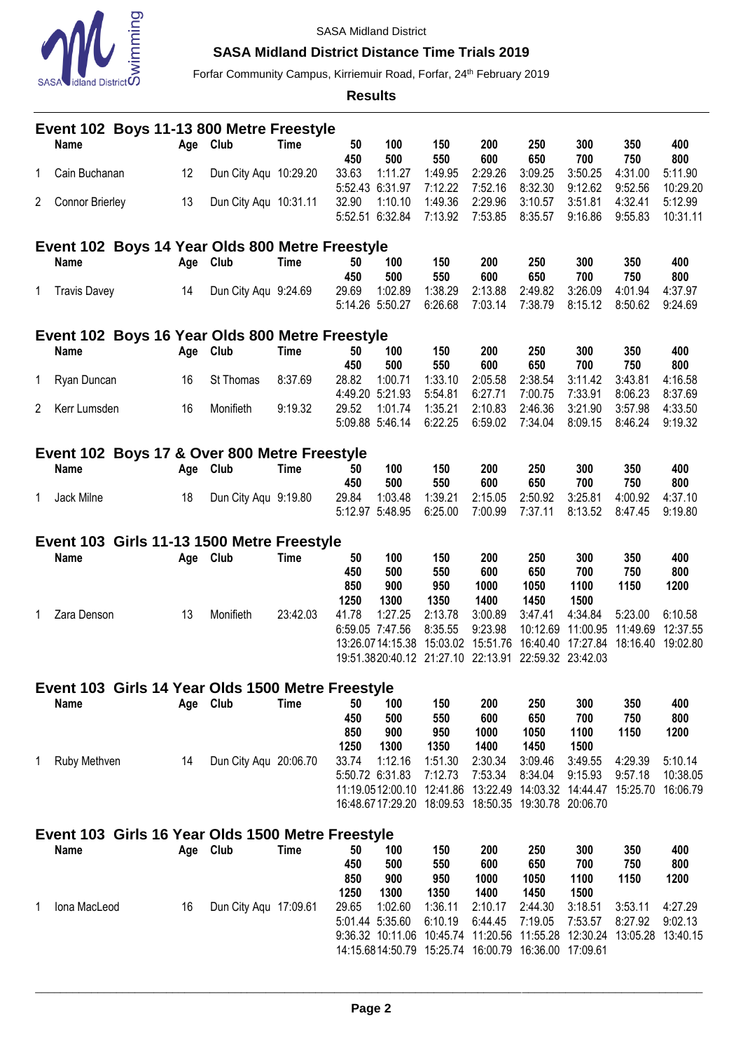

## **SASA Midland District Distance Time Trials 2019**

Forfar Community Campus, Kirriemuir Road, Forfar, 24<sup>th</sup> February 2019

**Results**

|              | Event 102 Boys 11-13 800 Metre Freestyle                         |  |          |                       |             |               |                                                        |                           |                           |                                                                  |                           |                           |                            |  |
|--------------|------------------------------------------------------------------|--|----------|-----------------------|-------------|---------------|--------------------------------------------------------|---------------------------|---------------------------|------------------------------------------------------------------|---------------------------|---------------------------|----------------------------|--|
|              | <b>Name</b>                                                      |  | Age Club |                       | Time        | 50            | 100                                                    | 150                       | 200                       | 250                                                              | 300                       | 350                       | 400                        |  |
| 1            | Cain Buchanan                                                    |  | 12       | Dun City Aqu 10:29.20 |             | 450<br>33.63  | 500<br>1:11.27<br>5:52.43 6:31.97                      | 550<br>1:49.95<br>7:12.22 | 600<br>2:29.26<br>7:52.16 | 650<br>3:09.25<br>8:32.30                                        | 700<br>3:50.25<br>9:12.62 | 750<br>4:31.00<br>9:52.56 | 800<br>5:11.90<br>10:29.20 |  |
| $\mathbf{2}$ | <b>Connor Brierley</b>                                           |  | 13       | Dun City Agu 10:31.11 |             | 32.90         | 1:10.10<br>5:52.51 6:32.84                             | 1:49.36<br>7:13.92        | 2:29.96<br>7:53.85        | 3:10.57<br>8:35.57                                               | 3:51.81<br>9:16.86        | 4:32.41<br>9:55.83        | 5:12.99<br>10:31.11        |  |
|              | Event 102 Boys 14 Year Olds 800 Metre Freestyle                  |  |          |                       |             |               |                                                        |                           |                           |                                                                  |                           |                           |                            |  |
|              | Name                                                             |  | Age Club |                       | <b>Time</b> | 50            | 100                                                    | 150                       | 200                       | 250                                                              | 300                       | 350                       | 400                        |  |
| 1            | <b>Travis Davey</b>                                              |  | 14       | Dun City Aqu 9:24.69  |             | 450<br>29.69  | 500<br>1:02.89<br>5:14.26 5:50.27                      | 550<br>1:38.29<br>6:26.68 | 600<br>2:13.88<br>7:03.14 | 650<br>2:49.82<br>7:38.79                                        | 700<br>3:26.09<br>8:15.12 | 750<br>4:01.94<br>8:50.62 | 800<br>4:37.97<br>9:24.69  |  |
|              | Event 102 Boys 16 Year Olds 800 Metre Freestyle                  |  |          |                       |             |               |                                                        |                           |                           |                                                                  |                           |                           |                            |  |
|              | Name                                                             |  | Age Club |                       | <b>Time</b> | 50            | 100                                                    | 150                       | 200                       | 250                                                              | 300                       | 350                       | 400                        |  |
| 1            | Ryan Duncan                                                      |  | 16       | St Thomas             | 8:37.69     | 450<br>28.82  | 500<br>1:00.71                                         | 550<br>1:33.10            | 600<br>2:05.58            | 650<br>2:38.54                                                   | 700<br>3:11.42            | 750<br>3:43.81            | 800<br>4:16.58             |  |
| $\mathbf{2}$ | Kerr Lumsden                                                     |  | 16       | Monifieth             | 9:19.32     | 29.52         | 4:49.20 5:21.93<br>1:01.74                             | 5:54.81<br>1:35.21        | 6:27.71<br>2:10.83        | 7:00.75<br>2:46.36                                               | 7:33.91<br>3:21.90        | 8:06.23<br>3:57.98        | 8:37.69<br>4:33.50         |  |
|              |                                                                  |  |          |                       |             |               | 5:09.88 5:46.14                                        | 6:22.25                   | 6:59.02                   | 7:34.04                                                          | 8:09.15                   | 8:46.24                   | 9:19.32                    |  |
|              | Event 102 Boys 17 & Over 800 Metre Freestyle                     |  |          |                       |             |               |                                                        |                           |                           |                                                                  |                           |                           |                            |  |
|              | Name                                                             |  | Age Club |                       | <b>Time</b> | 50            | 100                                                    | 150                       | 200                       | 250                                                              | 300                       | 350                       | 400                        |  |
|              |                                                                  |  |          |                       |             | 450           | 500<br>1:03.48                                         | 550                       | 600                       | 650                                                              | 700                       | 750                       | 800                        |  |
| 1            | Jack Milne                                                       |  | 18       | Dun City Aqu 9:19.80  |             | 29.84         | 5:12.97 5:48.95                                        | 1:39.21<br>6:25.00        | 2:15.05<br>7:00.99        | 2:50.92<br>7:37.11                                               | 3:25.81<br>8:13.52        | 4:00.92<br>8:47.45        | 4:37.10<br>9:19.80         |  |
|              | Event 103 Girls 11-13 1500 Metre Freestyle                       |  |          |                       |             |               |                                                        |                           |                           |                                                                  |                           |                           |                            |  |
|              |                                                                  |  |          |                       |             |               |                                                        |                           |                           |                                                                  |                           |                           |                            |  |
|              | <b>Name</b>                                                      |  |          | <b>Club</b>           | <b>Time</b> | 50            | 100                                                    | 150                       | 200                       | 250                                                              | 300                       | 350                       | 400                        |  |
|              |                                                                  |  | Age      |                       |             | 450<br>850    | 500<br>900                                             | 550<br>950                | 600<br>1000               | 650<br>1050                                                      | 700<br>1100               | 750<br>1150               | 800<br>1200                |  |
| 1            | Zara Denson                                                      |  | 13       | Monifieth             | 23:42.03    | 1250<br>41.78 | 1300<br>1:27.25                                        | 1350<br>2:13.78           | 1400<br>3:00.89           | 1450<br>3:47.41                                                  | 1500<br>4:34.84           | 5:23.00                   | 6:10.58                    |  |
|              |                                                                  |  |          |                       |             |               | 6:59.05 7:47.56                                        | 8:35.55                   | 9:23.98                   | 10:12.69                                                         | 11:00.95                  | 11:49.69                  | 12:37.55                   |  |
|              |                                                                  |  |          |                       |             |               | 13:26.0714:15.38                                       | 15:03.02                  | 15:51.76                  | 16:40.40<br>19:51.3820:40.12 21:27.10 22:13.91 22:59.32 23:42.03 | 17:27.84                  |                           | 18:16.40 19:02.80          |  |
|              |                                                                  |  |          |                       |             |               |                                                        |                           |                           |                                                                  |                           |                           |                            |  |
|              | Event 103 Girls 14 Year Olds 1500 Metre Freestyle<br><b>Name</b> |  | Age Club |                       | <b>Time</b> | 50            | 100                                                    | 150                       | 200                       | 250                                                              | 300                       | 350                       | 400                        |  |
|              |                                                                  |  |          |                       |             | 450           | 500                                                    | 550                       | 600                       | 650                                                              | 700                       | 750                       | 800                        |  |
|              |                                                                  |  |          |                       |             | 850           | 900                                                    | 950                       | 1000                      | 1050                                                             | 1100                      | 1150                      | 1200                       |  |
| 1            | Ruby Methven                                                     |  | 14       | Dun City Aqu 20:06.70 |             | 1250<br>33.74 | 1300<br>1:12.16                                        | 1350<br>1:51.30           | 1400<br>2:30.34           | 1450<br>3:09.46                                                  | 1500<br>3:49.55           | 4:29.39                   | 5:10.14                    |  |
|              |                                                                  |  |          |                       |             |               | 5:50.72 6:31.83                                        | 7:12.73                   | 7:53.34                   | 8:34.04                                                          | 9:15.93                   | 9:57.18                   | 10:38.05                   |  |
|              |                                                                  |  |          |                       |             |               | 11:19.0512:00.10 12:41.86<br>16:48.6717:29.20 18:09.53 |                           |                           | 13:22.49 14:03.32<br>18:50.35 19:30.78 20:06.70                  | 14:44.47                  | 15:25.70                  | 16:06.79                   |  |
|              |                                                                  |  |          |                       |             |               |                                                        |                           |                           |                                                                  |                           |                           |                            |  |
|              | Event 103 Girls 16 Year Olds 1500 Metre Freestyle                |  |          |                       |             | 50            |                                                        |                           |                           |                                                                  |                           |                           |                            |  |
|              | Name                                                             |  | Age Club |                       | <b>Time</b> | 450           | 100<br>500                                             | 150<br>550                | 200<br>600                | 250<br>650                                                       | 300<br>700                | 350<br>750                | 400<br>800                 |  |
|              |                                                                  |  |          |                       |             | 850           | 900                                                    | 950                       | 1000                      | 1050                                                             | 1100                      | 1150                      | 1200                       |  |
| 1            | Iona MacLeod                                                     |  | 16       | Dun City Aqu 17:09.61 |             | 1250<br>29.65 | 1300<br>1:02.60                                        | 1350<br>1:36.11           | 1400<br>2:10.17           | 1450<br>2:44.30                                                  | 1500<br>3:18.51           | 3:53.11                   | 4:27.29                    |  |
|              |                                                                  |  |          |                       |             |               | 5:01.44 5:35.60                                        | 6:10.19                   | 6:44.45                   | 7:19.05                                                          | 7:53.57                   | 8:27.92                   | 9:02.13                    |  |
|              |                                                                  |  |          |                       |             |               | 9:36.32 10:11.06<br>14:15.6814:50.79 15:25.74          | 10:45.74                  |                           | 11:20.56 11:55.28<br>16:00.79 16:36.00 17:09.61                  | 12:30.24                  | 13:05.28                  | 13:40.15                   |  |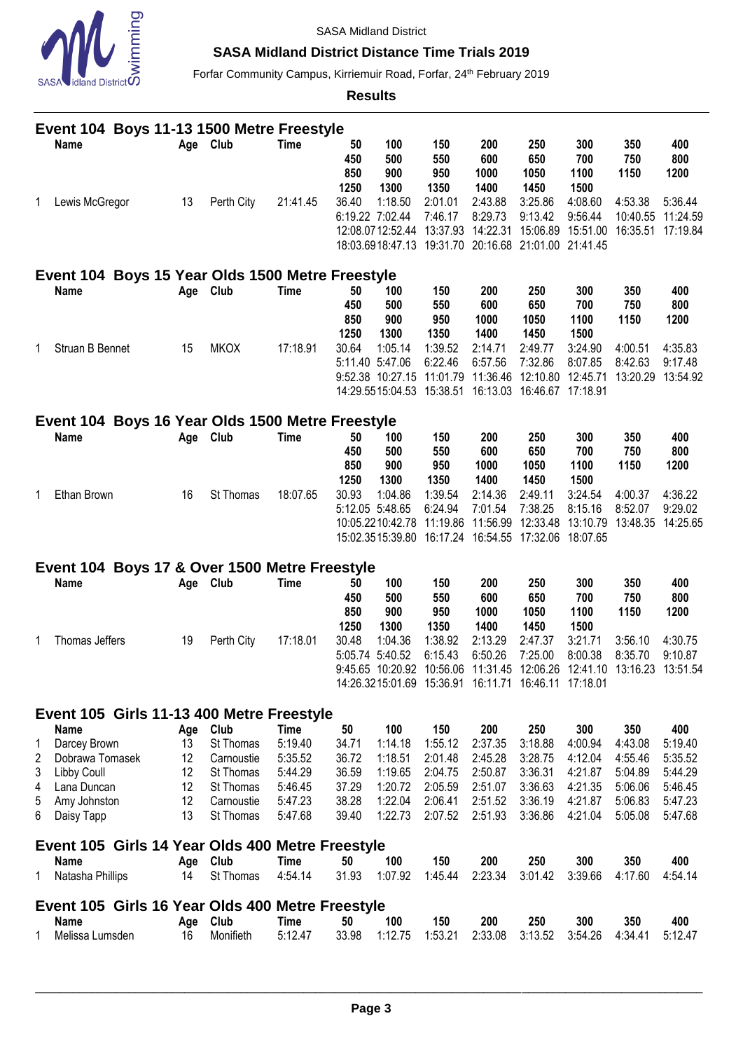

### **SASA Midland District Distance Time Trials 2019**

Forfar Community Campus, Kirriemuir Road, Forfar, 24<sup>th</sup> February 2019

**Results**

|        | Event 104 Boys 11-13 1500 Metre Freestyle        |           |                        |                        |                          |                                                         |                           |                                                                                                                                                          |                                                  |                                |                                                   |                                         |  |
|--------|--------------------------------------------------|-----------|------------------------|------------------------|--------------------------|---------------------------------------------------------|---------------------------|----------------------------------------------------------------------------------------------------------------------------------------------------------|--------------------------------------------------|--------------------------------|---------------------------------------------------|-----------------------------------------|--|
|        | <b>Name</b>                                      | Age Club  |                        | Time                   | 50<br>450<br>850<br>1250 | 100<br>500<br>900<br>1300                               | 150<br>550<br>950<br>1350 | 200<br>600<br>1000<br>1400                                                                                                                               | 250<br>650<br>1050<br>1450                       | 300<br>700<br>1100<br>1500     | 350<br>750<br>1150                                | 400<br>800<br>1200                      |  |
| 1      | Lewis McGregor                                   | 13        | Perth City             | 21:41.45               | 36.40                    | 1:18.50<br>6:19.22 7:02.44<br>12:08.0712:52.44 13:37.93 | 2:01.01<br>7:46.17        | 2:43.88<br>8:29.73<br>14:22.31 15:06.89 15:51.00<br>18:03.6918:47.13 19:31.70 20:16.68 21:01.00 21:41.45                                                 | 3:25.86<br>9:13.42                               | 4:08.60<br>9:56.44             | 4:53.38<br>10:40.55 11:24.59<br>16:35.51 17:19.84 | 5:36.44                                 |  |
|        | Event 104 Boys 15 Year Olds 1500 Metre Freestyle |           |                        |                        |                          |                                                         |                           |                                                                                                                                                          |                                                  |                                |                                                   |                                         |  |
|        | Name                                             | Age Club  |                        | <b>Time</b>            | 50<br>450<br>850<br>1250 | 100<br>500<br>900<br>1300                               | 150<br>550<br>950<br>1350 | 200<br>600<br>1000<br>1400                                                                                                                               | 250<br>650<br>1050<br>1450                       | 300<br>700<br>1100<br>1500     | 350<br>750<br>1150                                | 400<br>800<br>1200                      |  |
| 1      | Struan B Bennet                                  | 15        | <b>MKOX</b>            | 17:18.91               | 30.64                    | 1:05.14<br>5:11.40 5:47.06<br>9:52.38 10:27.15 11:01.79 | 1:39.52<br>6:22.46        | 2:14.71<br>6:57.56<br>14:29.5515:04.53  15:38.51  16:13.03  16:46.67  17:18.91                                                                           | 2:49.77<br>7:32.86<br>11:36.46 12:10.80 12:45.71 | 3:24.90<br>8:07.85             | 4:00.51<br>8:42.63                                | 4:35.83<br>9:17.48<br>13:20.29 13:54.92 |  |
|        | Event 104 Boys 16 Year Olds 1500 Metre Freestyle |           |                        |                        |                          |                                                         |                           |                                                                                                                                                          |                                                  |                                |                                                   |                                         |  |
|        | <b>Name</b>                                      | Age Club  |                        | <b>Time</b>            | 50<br>450<br>850<br>1250 | 100<br>500<br>900<br>1300                               | 150<br>550<br>950<br>1350 | 200<br>600<br>1000<br>1400                                                                                                                               | 250<br>650<br>1050<br>1450                       | 300<br>700<br>1100<br>1500     | 350<br>750<br>1150                                | 400<br>800<br>1200                      |  |
| 1      | Ethan Brown                                      | 16        | St Thomas              | 18:07.65               | 30.93                    | 1:04.86<br>5:12.05 5:48.65<br>10:05.2210:42.78 11:19.86 | 1:39.54<br>6:24.94        | 2:14.36<br>7:01.54<br>11:56.99 12:33.48<br>15:02.3515:39.80  16:17.24  16:54.55  17:32.06  18:07.65                                                      | 2:49.11<br>7:38.25                               | 3:24.54<br>8:15.16<br>13:10.79 | 4:00.37<br>8:52.07<br>13:48.35 14:25.65           | 4:36.22<br>9:29.02                      |  |
|        | Event 104 Boys 17 & Over 1500 Metre Freestyle    |           |                        |                        |                          |                                                         |                           |                                                                                                                                                          |                                                  |                                |                                                   |                                         |  |
|        | Name                                             | Age Club  |                        | <b>Time</b>            | 50<br>450<br>850<br>1250 | 100<br>500<br>900<br>1300                               | 150<br>550<br>950<br>1350 | 200<br>600<br>1000<br>1400                                                                                                                               | 250<br>650<br>1050<br>1450                       | 300<br>700<br>1100<br>1500     | 350<br>750<br>1150                                | 400<br>800<br>1200                      |  |
| 1      | Thomas Jeffers                                   | 19        | Perth City             | 17:18.01               | 30.48                    | 1:04.36<br>5:05.74 5:40.52                              | 1:38.92<br>6:15.43        | 2:13.29<br>6:50.26<br>9:45.65 10:20.92 10:56.06 11:31.45 12:06.26 12:41.10 13:16.23 13:51.54<br>14:26.3215:01.69  15:36.91  16:11.71  16:46.11  17:18.01 | 2:47.37<br>7:25.00                               | 3:21.71<br>8:00.38             | 3:56.10<br>8:35.70                                | 4:30.75<br>9:10.87                      |  |
|        | Event 105 Girls 11-13 400 Metre Freestyle        |           |                        |                        |                          |                                                         |                           |                                                                                                                                                          |                                                  |                                |                                                   |                                         |  |
|        | <b>Name</b>                                      | Age       | Club                   | Time                   | 50                       | 100                                                     | 150                       | 200                                                                                                                                                      | 250                                              | 300                            | 350                                               | 400                                     |  |
| 1      | Darcey Brown                                     | 13        | St Thomas              | 5:19.40                | 34.71                    | 1:14.18                                                 | 1:55.12                   | 2:37.35                                                                                                                                                  | 3:18.88                                          | 4:00.94                        | 4:43.08                                           | 5:19.40                                 |  |
| 2      | Dobrawa Tomasek                                  | 12        | Carnoustie             | 5:35.52                | 36.72                    | 1:18.51                                                 | 2:01.48                   | 2:45.28                                                                                                                                                  | 3:28.75                                          | 4:12.04                        | 4:55.46                                           | 5:35.52                                 |  |
| 3<br>4 | Libby Coull<br>Lana Duncan                       | 12<br>12  | St Thomas<br>St Thomas | 5:44.29<br>5:46.45     | 36.59<br>37.29           | 1:19.65<br>1:20.72                                      | 2:04.75<br>2:05.59        | 2:50.87<br>2:51.07                                                                                                                                       | 3:36.31<br>3:36.63                               | 4:21.87<br>4:21.35             | 5:04.89<br>5:06.06                                | 5:44.29<br>5:46.45                      |  |
| 5      | Amy Johnston                                     | 12        | Carnoustie             | 5:47.23                | 38.28                    | 1:22.04                                                 | 2:06.41                   | 2:51.52                                                                                                                                                  | 3:36.19                                          | 4:21.87                        | 5:06.83                                           | 5:47.23                                 |  |
| 6      | Daisy Tapp                                       | 13        | St Thomas              | 5:47.68                | 39.40                    | 1:22.73                                                 | 2:07.52                   | 2:51.93                                                                                                                                                  | 3:36.86                                          | 4:21.04                        | 5:05.08                                           | 5:47.68                                 |  |
|        | Event 105 Girls 14 Year Olds 400 Metre Freestyle |           |                        |                        |                          |                                                         |                           |                                                                                                                                                          |                                                  |                                |                                                   |                                         |  |
| 1      | Name<br>Natasha Phillips                         | Age<br>14 | Club<br>St Thomas      | <b>Time</b><br>4:54.14 | 50<br>31.93              | 100<br>1:07.92                                          | 150<br>1:45.44            | 200<br>2:23.34                                                                                                                                           | 250<br>3:01.42                                   | 300<br>3:39.66                 | 350<br>4:17.60                                    | 400<br>4:54.14                          |  |
|        | Event 105 Girls 16 Year Olds 400 Metre Freestyle |           |                        |                        |                          |                                                         |                           |                                                                                                                                                          |                                                  |                                |                                                   |                                         |  |
| 1      | <b>Name</b><br>Melissa Lumsden                   | Age<br>16 | Club<br>Monifieth      | <b>Time</b><br>5:12.47 | 50<br>33.98              | 100<br>1:12.75                                          | 150<br>1:53.21            | 200<br>2:33.08                                                                                                                                           | 250<br>3:13.52                                   | 300<br>3:54.26                 | 350<br>4:34.41                                    | 400<br>5:12.47                          |  |